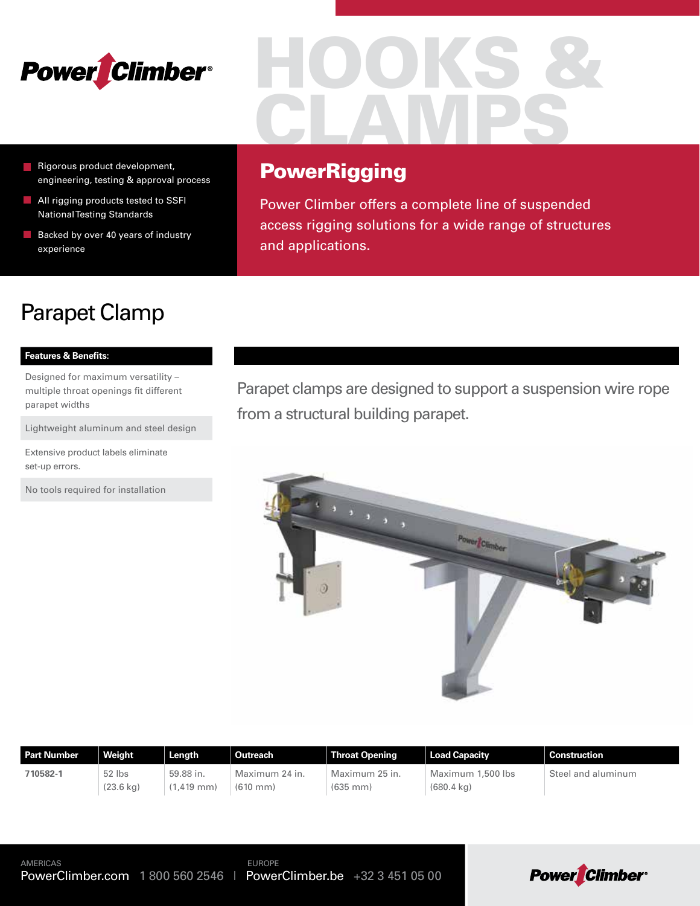

- Rigorous product development, engineering, testing & approval process
- All rigging products tested to SSFI National Testing Standards
- $\blacksquare$  Backed by over 40 years of industry experience

# HOOKS & CLAMPS

### **PowerRigging**

Power Climber offers a complete line of suspended access rigging solutions for a wide range of structures and applications.

# Parapet Clamp

### **Features & Benefits:**

Designed for maximum versatility – multiple throat openings fit different parapet widths

Lightweight aluminum and steel design

Extensive product labels eliminate set-up errors.

No tools required for installation

Parapet clamps are designed to support a suspension wire rope from a structural building parapet.



| <b>Part Number</b> | Weight              | Length         | Outreach             | <b>Throat Opening</b> | <b>Load Capacity</b> | <b>Construction</b> |
|--------------------|---------------------|----------------|----------------------|-----------------------|----------------------|---------------------|
| 710582-1           | 52 lbs              | 59.88 in.      | Maximum 24 in.       | Maximum 25 in.        | Maximum 1,500 lbs    | Steel and aluminum  |
|                    | $(23.6 \text{ kg})$ | $1.419$ mm $)$ | $(610 \, \text{mm})$ | $(635$ mm $)$         | $(680.4 \text{ kg})$ |                     |

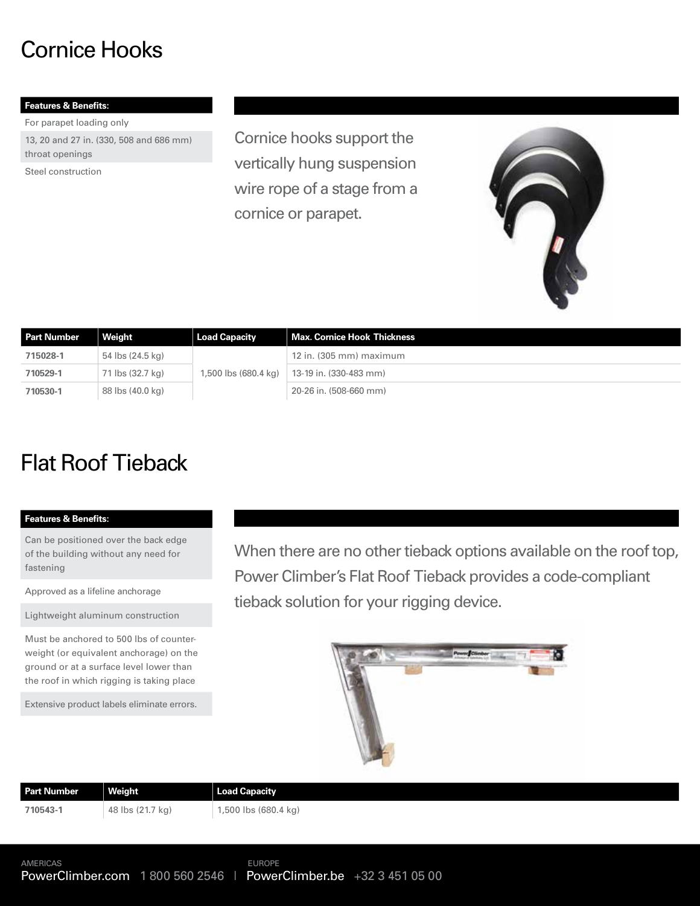## Cornice Hooks

### **Features & Benefits:**

For parapet loading only

13, 20 and 27 in. (330, 508 and 686 mm) throat openings

Steel construction

Cornice hooks support the vertically hung suspension wire rope of a stage from a cornice or parapet.



| <b>Part Number</b> | Weight           | <b>Load Capacity</b> | Max. Cornice Hook Thickness |
|--------------------|------------------|----------------------|-----------------------------|
| 715028-1           | 54 lbs (24.5 kg) |                      | $12$ in. (305 mm) maximum   |
| 710529-1           | 71 lbs (32.7 kg) | 1,500 lbs (680.4 kg) | 13-19 in. (330-483 mm)      |
| 710530-1           | 88 lbs (40.0 kg) |                      | 20-26 in. (508-660 mm)      |

# Flat Roof Tieback

### **Features & Benefits:**

Can be positioned over the back edge of the building without any need for fastening

Approved as a lifeline anchorage

Lightweight aluminum construction

Must be anchored to 500 lbs of counterweight (or equivalent anchorage) on the ground or at a surface level lower than the roof in which rigging is taking place

Extensive product labels eliminate errors.

When there are no other tieback options available on the roof top, Power Climber's Flat Roof Tieback provides a code-compliant tieback solution for your rigging device.



| <b>Part Number</b> | Weight           | Load Capacity        |  |
|--------------------|------------------|----------------------|--|
| 710543-1           | 48 lbs (21.7 kg) | 1,500 lbs (680.4 kg) |  |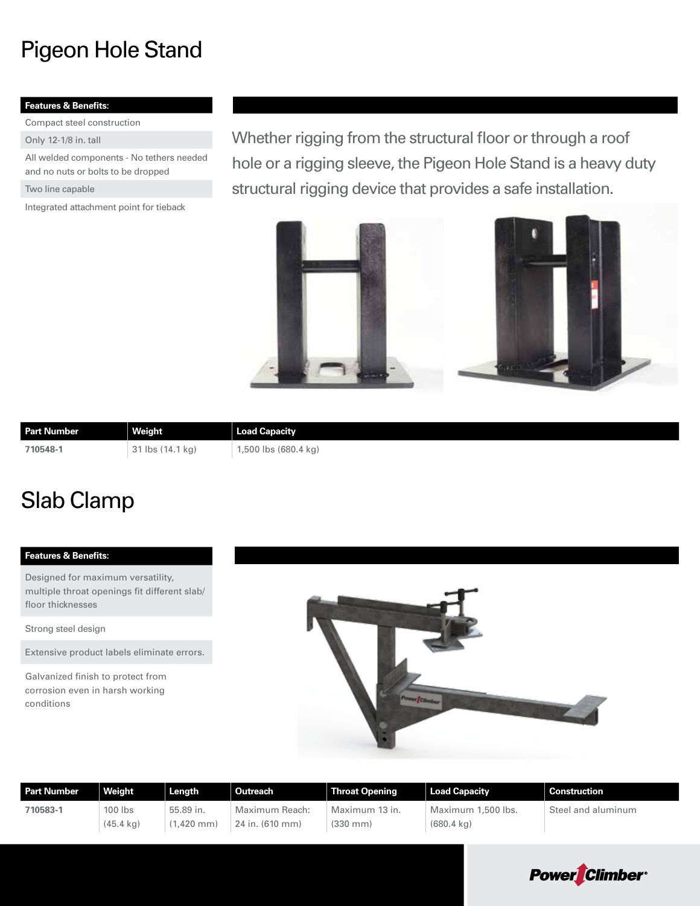# Pigeon Hole Stand

### **Features & Benefits:**

Compact steel construction

Only 12-1/8 in. tall

All welded components - No tethers needed and no nuts or bolts to be dropped

Two line capable

Integrated attachment point for tieback

Whether rigging from the structural floor or through a roof hole or a rigging sleeve, the Pigeon Hole Stand is a heavy duty structural rigging device that provides a safe installation.



| <b>Part Number</b> | Weight           | Load Capacity        |
|--------------------|------------------|----------------------|
| 710548-1           | 31 lbs (14.1 kg) | .,500 lbs (680.4 kg) |

### Slab Clamp

### **Features & Benefits:**

Designed for maximum versatility, multiple throat openings fit different slab/ floor thicknesses

Strong steel design

Extensive product labels eliminate errors.

Galvanized finish to protect from corrosion even in harsh working conditions



| <b>Part Number</b> | Weight              | Length       | Outreach        | <b>Throat Opening</b> | Load Capacity        | <b>Construction</b> |
|--------------------|---------------------|--------------|-----------------|-----------------------|----------------------|---------------------|
| 710583-1           | $100$ lbs           | 55.89 in.    | Maximum Reach:  | Maximum 13 in.        | Maximum 1,500 lbs.   | Steel and aluminum  |
|                    | $(45.4 \text{ kg})$ | $(1.420$ mm) | 24 in. (610 mm) | $(330 \, \text{mm})$  | $(680.4 \text{ kg})$ |                     |